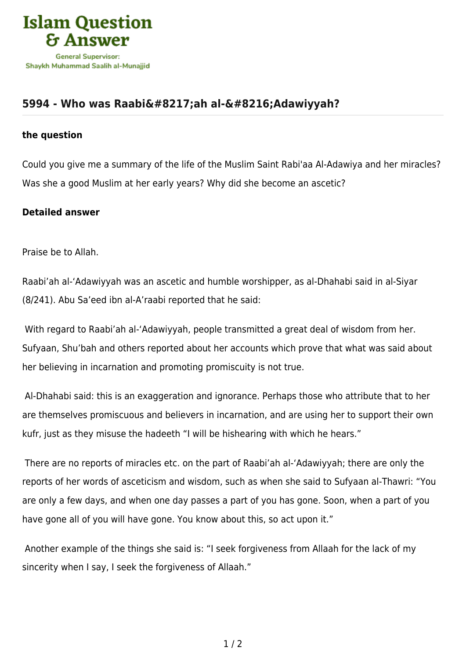

## [5994 - Who was Raabi'ah al-'Adawiyyah?](https://islamqa.com/en/answers/5994/who-was-raabiah-al-adawiyyah)

## **the question**

Could you give me a summary of the life of the Muslim Saint Rabi'aa Al-Adawiya and her miracles? Was she a good Muslim at her early years? Why did she become an ascetic?

## **Detailed answer**

Praise be to Allah.

Raabi'ah al-'Adawiyyah was an ascetic and humble worshipper, as al-Dhahabi said in al-Siyar (8/241). Abu Sa'eed ibn al-A'raabi reported that he said:

 With regard to Raabi'ah al-'Adawiyyah, people transmitted a great deal of wisdom from her. Sufyaan, Shu'bah and others reported about her accounts which prove that what was said about her believing in incarnation and promoting promiscuity is not true.

 Al-Dhahabi said: this is an exaggeration and ignorance. Perhaps those who attribute that to her are themselves promiscuous and believers in incarnation, and are using her to support their own kufr, just as they misuse the hadeeth "I will be hishearing with which he hears."

 There are no reports of miracles etc. on the part of Raabi'ah al-'Adawiyyah; there are only the reports of her words of asceticism and wisdom, such as when she said to Sufyaan al-Thawri: "You are only a few days, and when one day passes a part of you has gone. Soon, when a part of you have gone all of you will have gone. You know about this, so act upon it."

 Another example of the things she said is: "I seek forgiveness from Allaah for the lack of my sincerity when I say, I seek the forgiveness of Allaah."